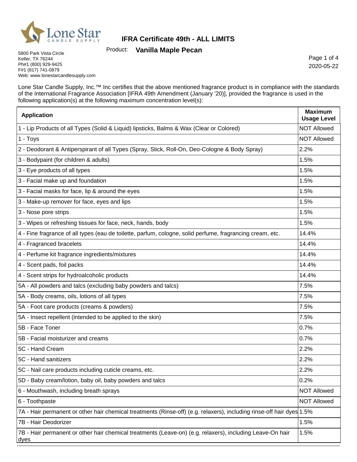

Product: **Vanilla Maple Pecan**

5800 Park Vista Circle Keller, TX 76244 Ph#1 (800) 929-9425 F#1 (817) 741-0879 Web: www.lonestarcandlesupply.com

Page 1 of 4 2020-05-22

h

Lone Star Candle Supply, Inc.™ Inc certifies that the above mentioned fragrance product is in compliance with the standards of the International Fragrance Association [IFRA 49th Amendment (January '20)], provided the fragrance is used in the following application(s) at the following maximum concentration level(s):

| <b>Application</b>                                                                                                    | <b>Maximum</b><br><b>Usage Level</b> |
|-----------------------------------------------------------------------------------------------------------------------|--------------------------------------|
| 1 - Lip Products of all Types (Solid & Liquid) lipsticks, Balms & Wax (Clear or Colored)                              | <b>NOT Allowed</b>                   |
| 1 - Toys                                                                                                              | <b>NOT Allowed</b>                   |
| 2 - Deodorant & Antiperspirant of all Types (Spray, Stick, Roll-On, Deo-Cologne & Body Spray)                         | 2.2%                                 |
| 3 - Bodypaint (for children & adults)                                                                                 | 1.5%                                 |
| 3 - Eye products of all types                                                                                         | 1.5%                                 |
| 3 - Facial make up and foundation                                                                                     | 1.5%                                 |
| 3 - Facial masks for face, lip & around the eyes                                                                      | 1.5%                                 |
| 3 - Make-up remover for face, eyes and lips                                                                           | 1.5%                                 |
| 3 - Nose pore strips                                                                                                  | 1.5%                                 |
| 3 - Wipes or refreshing tissues for face, neck, hands, body                                                           | 1.5%                                 |
| 4 - Fine fragrance of all types (eau de toilette, parfum, cologne, solid perfume, fragrancing cream, etc.             | 14.4%                                |
| 4 - Fragranced bracelets                                                                                              | 14.4%                                |
| 4 - Perfume kit fragrance ingredients/mixtures                                                                        | 14.4%                                |
| 4 - Scent pads, foil packs                                                                                            | 14.4%                                |
| 4 - Scent strips for hydroalcoholic products                                                                          | 14.4%                                |
| 5A - All powders and talcs (excluding baby powders and talcs)                                                         | 7.5%                                 |
| 5A - Body creams, oils, lotions of all types                                                                          | 7.5%                                 |
| 5A - Foot care products (creams & powders)                                                                            | 7.5%                                 |
| 5A - Insect repellent (intended to be applied to the skin)                                                            | 7.5%                                 |
| 5B - Face Toner                                                                                                       | 0.7%                                 |
| 5B - Facial moisturizer and creams                                                                                    | 0.7%                                 |
| 5C - Hand Cream                                                                                                       | 2.2%                                 |
| 5C - Hand sanitizers                                                                                                  | 2.2%                                 |
| 5C - Nail care products including cuticle creams, etc.                                                                | 2.2%                                 |
| 5D - Baby cream/lotion, baby oil, baby powders and talcs                                                              | 0.2%                                 |
| 6 - Mouthwash, including breath sprays                                                                                | <b>NOT Allowed</b>                   |
| 6 - Toothpaste                                                                                                        | <b>NOT Allowed</b>                   |
| 7A - Hair permanent or other hair chemical treatments (Rinse-off) (e.g. relaxers), including rinse-off hair dyes 1.5% |                                      |
| 7B - Hair Deodorizer                                                                                                  | 1.5%                                 |
| 7B - Hair permanent or other hair chemical treatments (Leave-on) (e.g. relaxers), including Leave-On hair<br>dyes     | 1.5%                                 |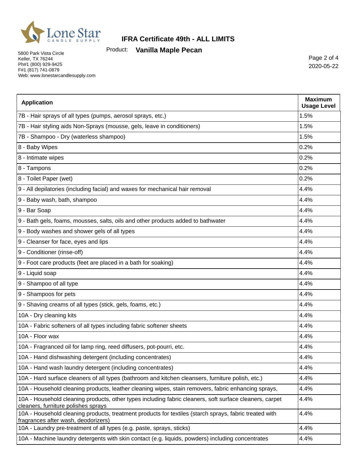

Product: **Vanilla Maple Pecan**

5800 Park Vista Circle Keller, TX 76244 Ph#1 (800) 929-9425 F#1 (817) 741-0879 Web: www.lonestarcandlesupply.com

Page 2 of 4 2020-05-22

| <b>Application</b>                                                                                                                             | <b>Maximum</b><br><b>Usage Level</b> |
|------------------------------------------------------------------------------------------------------------------------------------------------|--------------------------------------|
| 7B - Hair sprays of all types (pumps, aerosol sprays, etc.)                                                                                    | 1.5%                                 |
| 7B - Hair styling aids Non-Sprays (mousse, gels, leave in conditioners)                                                                        | 1.5%                                 |
| 7B - Shampoo - Dry (waterless shampoo)                                                                                                         | 1.5%                                 |
| 8 - Baby Wipes                                                                                                                                 | 0.2%                                 |
| 8 - Intimate wipes                                                                                                                             | 0.2%                                 |
| 8 - Tampons                                                                                                                                    | 0.2%                                 |
| 8 - Toilet Paper (wet)                                                                                                                         | 0.2%                                 |
| 9 - All depilatories (including facial) and waxes for mechanical hair removal                                                                  | 4.4%                                 |
| 9 - Baby wash, bath, shampoo                                                                                                                   | 4.4%                                 |
| 9 - Bar Soap                                                                                                                                   | 4.4%                                 |
| 9 - Bath gels, foams, mousses, salts, oils and other products added to bathwater                                                               | 4.4%                                 |
| 9 - Body washes and shower gels of all types                                                                                                   | 4.4%                                 |
| 9 - Cleanser for face, eyes and lips                                                                                                           | 4.4%                                 |
| 9 - Conditioner (rinse-off)                                                                                                                    | 4.4%                                 |
| 9 - Foot care products (feet are placed in a bath for soaking)                                                                                 | 4.4%                                 |
| 9 - Liquid soap                                                                                                                                | 4.4%                                 |
| 9 - Shampoo of all type                                                                                                                        | 4.4%                                 |
| 9 - Shampoos for pets                                                                                                                          | 4.4%                                 |
| 9 - Shaving creams of all types (stick, gels, foams, etc.)                                                                                     | 4.4%                                 |
| 10A - Dry cleaning kits                                                                                                                        | 4.4%                                 |
| 10A - Fabric softeners of all types including fabric softener sheets                                                                           | 4.4%                                 |
| 10A - Floor wax                                                                                                                                | 4.4%                                 |
| 10A - Fragranced oil for lamp ring, reed diffusers, pot-pourri, etc.                                                                           | 4.4%                                 |
| 10A - Hand dishwashing detergent (including concentrates)                                                                                      | 4.4%                                 |
| 10A - Hand wash laundry detergent (including concentrates)                                                                                     | 4.4%                                 |
| 10A - Hard surface cleaners of all types (bathroom and kitchen cleansers, furniture polish, etc.)                                              | 4.4%                                 |
| 10A - Household cleaning products, leather cleaning wipes, stain removers, fabric enhancing sprays,                                            | 4.4%                                 |
| 10A - Household cleaning products, other types including fabric cleaners, soft surface cleaners, carpet<br>cleaners, furniture polishes sprays | 4.4%                                 |
| 10A - Household cleaning products, treatment products for textiles (starch sprays, fabric treated with<br>fragrances after wash, deodorizers)  | 4.4%                                 |
| 10A - Laundry pre-treatment of all types (e.g. paste, sprays, sticks)                                                                          | 4.4%                                 |
| 10A - Machine laundry detergents with skin contact (e.g. liquids, powders) including concentrates                                              | 4.4%                                 |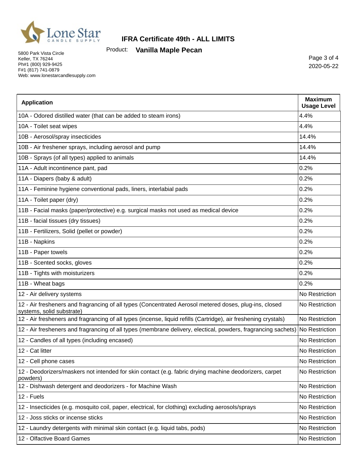

Product: **Vanilla Maple Pecan**

5800 Park Vista Circle Keller, TX 76244 Ph#1 (800) 929-9425 F#1 (817) 741-0879 Web: www.lonestarcandlesupply.com

Page 3 of 4 2020-05-22

| <b>Application</b>                                                                                                                  | <b>Maximum</b><br><b>Usage Level</b> |
|-------------------------------------------------------------------------------------------------------------------------------------|--------------------------------------|
| 10A - Odored distilled water (that can be added to steam irons)                                                                     | 4.4%                                 |
| 10A - Toilet seat wipes                                                                                                             | 4.4%                                 |
| 10B - Aerosol/spray insecticides                                                                                                    | 14.4%                                |
| 10B - Air freshener sprays, including aerosol and pump                                                                              | 14.4%                                |
| 10B - Sprays (of all types) applied to animals                                                                                      | 14.4%                                |
| 11A - Adult incontinence pant, pad                                                                                                  | 0.2%                                 |
| 11A - Diapers (baby & adult)                                                                                                        | 0.2%                                 |
| 11A - Feminine hygiene conventional pads, liners, interlabial pads                                                                  | 0.2%                                 |
| 11A - Toilet paper (dry)                                                                                                            | 0.2%                                 |
| 11B - Facial masks (paper/protective) e.g. surgical masks not used as medical device                                                | 0.2%                                 |
| 11B - facial tissues (dry tissues)                                                                                                  | 0.2%                                 |
| 11B - Fertilizers, Solid (pellet or powder)                                                                                         | 0.2%                                 |
| 11B - Napkins                                                                                                                       | 0.2%                                 |
| 11B - Paper towels                                                                                                                  | 0.2%                                 |
| 11B - Scented socks, gloves                                                                                                         | 0.2%                                 |
| 11B - Tights with moisturizers                                                                                                      | 0.2%                                 |
| 11B - Wheat bags                                                                                                                    | 0.2%                                 |
| 12 - Air delivery systems                                                                                                           | No Restriction                       |
| 12 - Air fresheners and fragrancing of all types (Concentrated Aerosol metered doses, plug-ins, closed<br>systems, solid substrate) | No Restriction                       |
| 12 - Air fresheners and fragrancing of all types (incense, liquid refills (Cartridge), air freshening crystals)                     | No Restriction                       |
| 12 - Air fresheners and fragrancing of all types (membrane delivery, electical, powders, fragrancing sachets) No Restriction        |                                      |
| 12 - Candles of all types (including encased)                                                                                       | No Restriction                       |
| 12 - Cat litter                                                                                                                     | No Restriction                       |
| 12 - Cell phone cases                                                                                                               | No Restriction                       |
| 12 - Deodorizers/maskers not intended for skin contact (e.g. fabric drying machine deodorizers, carpet<br>powders)                  | No Restriction                       |
| 12 - Dishwash detergent and deodorizers - for Machine Wash                                                                          | No Restriction                       |
| 12 - Fuels                                                                                                                          | No Restriction                       |
| 12 - Insecticides (e.g. mosquito coil, paper, electrical, for clothing) excluding aerosols/sprays                                   | No Restriction                       |
| 12 - Joss sticks or incense sticks                                                                                                  | No Restriction                       |
| 12 - Laundry detergents with minimal skin contact (e.g. liquid tabs, pods)                                                          | No Restriction                       |
| 12 - Olfactive Board Games                                                                                                          | No Restriction                       |